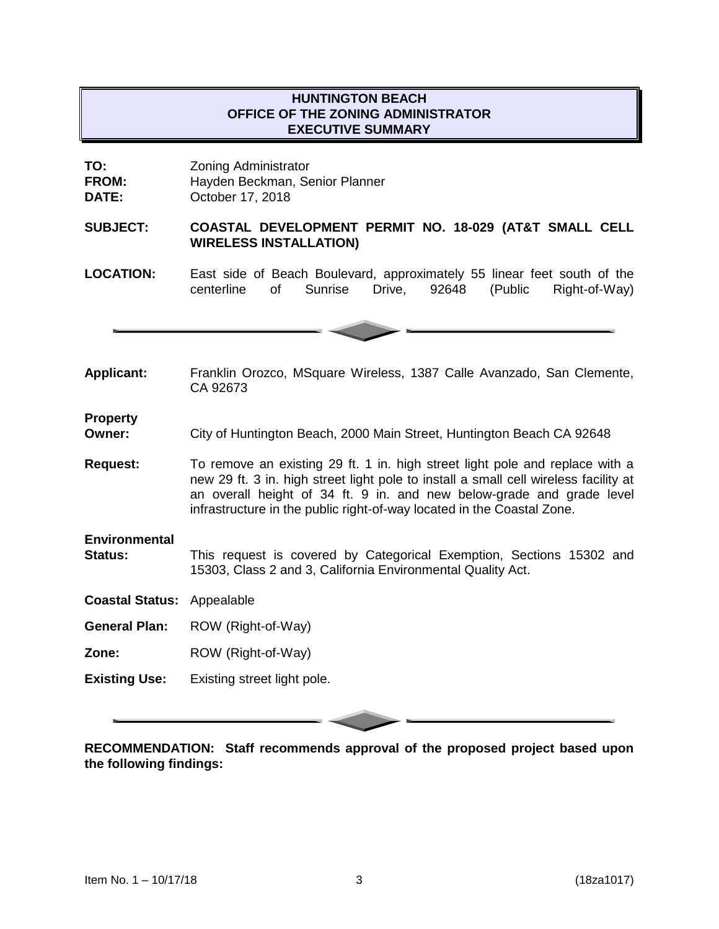# **HUNTINGTON BEACH OFFICE OF THE ZONING ADMINISTRATOR EXECUTIVE SUMMARY**

**TO:** Zoning Administrator **FROM:** Hayden Beckman, Senior Planner **DATE:** October 17, 2018

#### **SUBJECT: COASTAL DEVELOPMENT PERMIT NO. 18-029 (AT&T SMALL CELL WIRELESS INSTALLATION)**

**LOCATION:** East side of Beach Boulevard, approximately 55 linear feet south of the centerline of Sunrise Drive, 92648 (Public Right-of-Way)

**Applicant:** Franklin Orozco, MSquare Wireless, 1387 Calle Avanzado, San Clemente, CA 92673

**Property**

**Owner:** City of Huntington Beach, 2000 Main Street, Huntington Beach CA 92648

**Request:** To remove an existing 29 ft. 1 in. high street light pole and replace with a new 29 ft. 3 in. high street light pole to install a small cell wireless facility at an overall height of 34 ft. 9 in. and new below-grade and grade level infrastructure in the public right-of-way located in the Coastal Zone.

**Environmental** 

**Status:** This request is covered by Categorical Exemption, Sections 15302 and 15303, Class 2 and 3, California Environmental Quality Act.

**Coastal Status:** Appealable

**General Plan:** ROW (Right-of-Way)

**Zone:** ROW (Right-of-Way)

**Existing Use:** Existing street light pole.

**RECOMMENDATION: Staff recommends approval of the proposed project based upon the following findings:**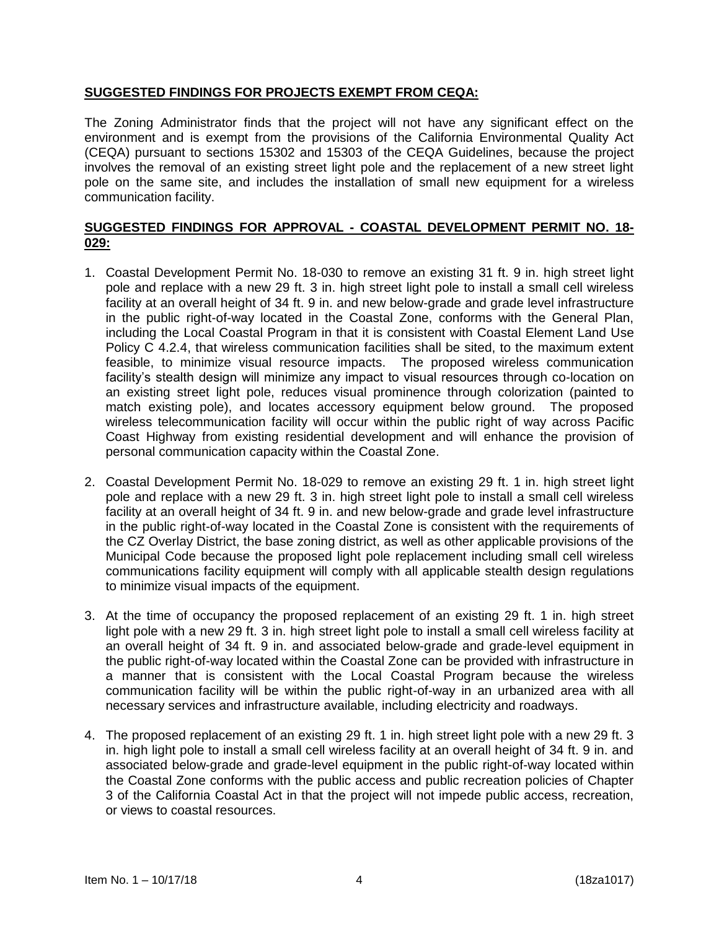## **SUGGESTED FINDINGS FOR PROJECTS EXEMPT FROM CEQA:**

The Zoning Administrator finds that the project will not have any significant effect on the environment and is exempt from the provisions of the California Environmental Quality Act (CEQA) pursuant to sections 15302 and 15303 of the CEQA Guidelines, because the project involves the removal of an existing street light pole and the replacement of a new street light pole on the same site, and includes the installation of small new equipment for a wireless communication facility.

## **SUGGESTED FINDINGS FOR APPROVAL - COASTAL DEVELOPMENT PERMIT NO. 18- 029:**

- 1. Coastal Development Permit No. 18-030 to remove an existing 31 ft. 9 in. high street light pole and replace with a new 29 ft. 3 in. high street light pole to install a small cell wireless facility at an overall height of 34 ft. 9 in. and new below-grade and grade level infrastructure in the public right-of-way located in the Coastal Zone, conforms with the General Plan, including the Local Coastal Program in that it is consistent with Coastal Element Land Use Policy C 4.2.4, that wireless communication facilities shall be sited, to the maximum extent feasible, to minimize visual resource impacts. The proposed wireless communication facility's stealth design will minimize any impact to visual resources through co-location on an existing street light pole, reduces visual prominence through colorization (painted to match existing pole), and locates accessory equipment below ground. The proposed wireless telecommunication facility will occur within the public right of way across Pacific Coast Highway from existing residential development and will enhance the provision of personal communication capacity within the Coastal Zone.
- 2. Coastal Development Permit No. 18-029 to remove an existing 29 ft. 1 in. high street light pole and replace with a new 29 ft. 3 in. high street light pole to install a small cell wireless facility at an overall height of 34 ft. 9 in. and new below-grade and grade level infrastructure in the public right-of-way located in the Coastal Zone is consistent with the requirements of the CZ Overlay District, the base zoning district, as well as other applicable provisions of the Municipal Code because the proposed light pole replacement including small cell wireless communications facility equipment will comply with all applicable stealth design regulations to minimize visual impacts of the equipment.
- 3. At the time of occupancy the proposed replacement of an existing 29 ft. 1 in. high street light pole with a new 29 ft. 3 in. high street light pole to install a small cell wireless facility at an overall height of 34 ft. 9 in. and associated below-grade and grade-level equipment in the public right-of-way located within the Coastal Zone can be provided with infrastructure in a manner that is consistent with the Local Coastal Program because the wireless communication facility will be within the public right-of-way in an urbanized area with all necessary services and infrastructure available, including electricity and roadways.
- 4. The proposed replacement of an existing 29 ft. 1 in. high street light pole with a new 29 ft. 3 in. high light pole to install a small cell wireless facility at an overall height of 34 ft. 9 in. and associated below-grade and grade-level equipment in the public right-of-way located within the Coastal Zone conforms with the public access and public recreation policies of Chapter 3 of the California Coastal Act in that the project will not impede public access, recreation, or views to coastal resources.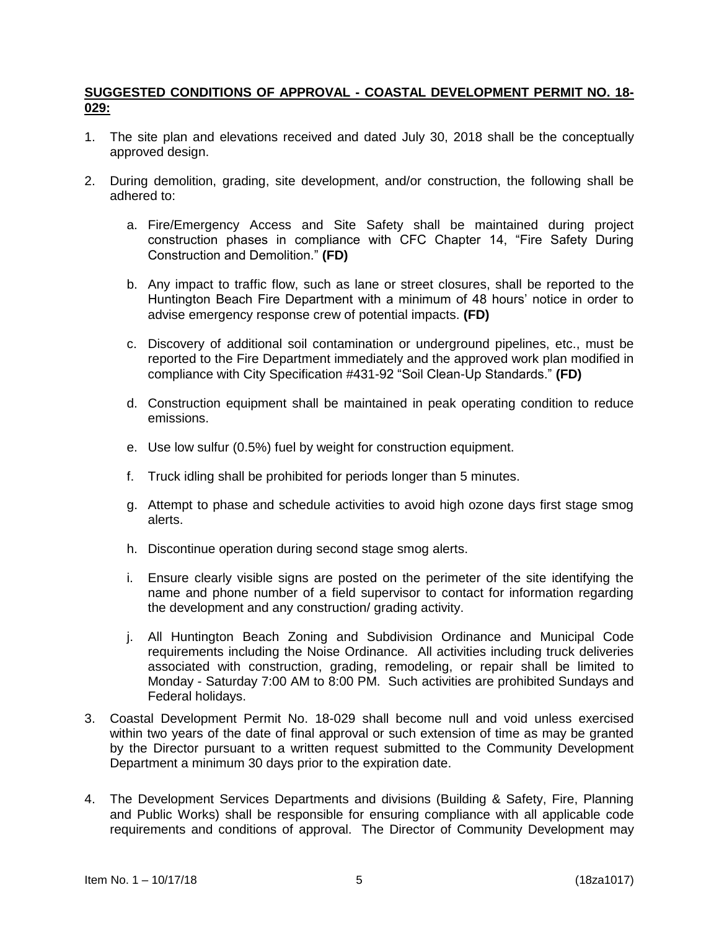## **SUGGESTED CONDITIONS OF APPROVAL - COASTAL DEVELOPMENT PERMIT NO. 18- 029:**

- 1. The site plan and elevations received and dated July 30, 2018 shall be the conceptually approved design.
- 2. During demolition, grading, site development, and/or construction, the following shall be adhered to:
	- a. Fire/Emergency Access and Site Safety shall be maintained during project construction phases in compliance with CFC Chapter 14, "Fire Safety During Construction and Demolition." **(FD)**
	- b. Any impact to traffic flow, such as lane or street closures, shall be reported to the Huntington Beach Fire Department with a minimum of 48 hours' notice in order to advise emergency response crew of potential impacts. **(FD)**
	- c. Discovery of additional soil contamination or underground pipelines, etc., must be reported to the Fire Department immediately and the approved work plan modified in compliance with City Specification #431-92 "Soil Clean-Up Standards." **(FD)**
	- d. Construction equipment shall be maintained in peak operating condition to reduce emissions.
	- e. Use low sulfur (0.5%) fuel by weight for construction equipment.
	- f. Truck idling shall be prohibited for periods longer than 5 minutes.
	- g. Attempt to phase and schedule activities to avoid high ozone days first stage smog alerts.
	- h. Discontinue operation during second stage smog alerts.
	- i. Ensure clearly visible signs are posted on the perimeter of the site identifying the name and phone number of a field supervisor to contact for information regarding the development and any construction/ grading activity.
	- j. All Huntington Beach Zoning and Subdivision Ordinance and Municipal Code requirements including the Noise Ordinance. All activities including truck deliveries associated with construction, grading, remodeling, or repair shall be limited to Monday - Saturday 7:00 AM to 8:00 PM. Such activities are prohibited Sundays and Federal holidays.
- 3. Coastal Development Permit No. 18-029 shall become null and void unless exercised within two years of the date of final approval or such extension of time as may be granted by the Director pursuant to a written request submitted to the Community Development Department a minimum 30 days prior to the expiration date.
- 4. The Development Services Departments and divisions (Building & Safety, Fire, Planning and Public Works) shall be responsible for ensuring compliance with all applicable code requirements and conditions of approval. The Director of Community Development may